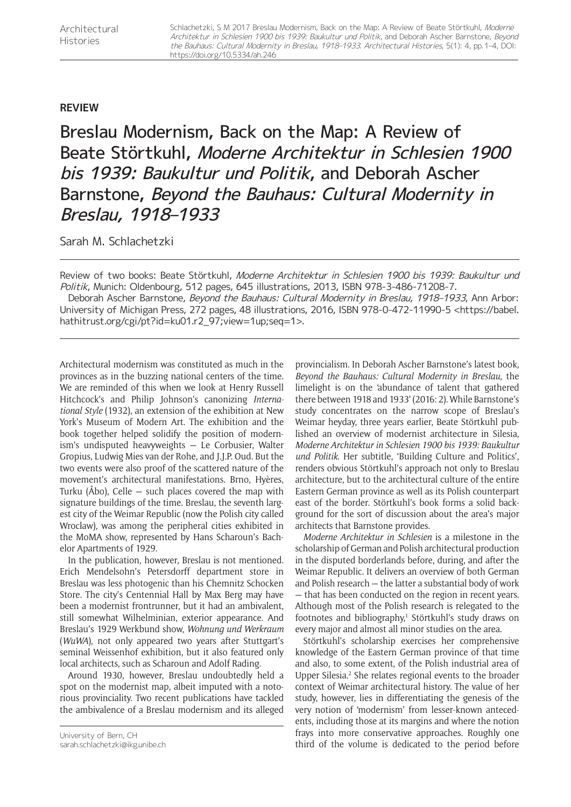## **REVIEW**

Breslau Modernism, Back on the Map: A Review of Beate Störtkuhl, Moderne Architektur in Schlesien 1900 bis 1939: Baukultur und Politik, and Deborah Ascher Barnstone, Beyond the Bauhaus: Cultural Modernity in Breslau, 1918–1933

Sarah M. Schlachetzki

Review of two books: Beate Störtkuhl, Moderne Architektur in Schlesien 1900 bis 1939: Baukultur und Politik, Munich: Oldenbourg, 512 pages, 645 illustrations, 2013, ISBN 978-3-486-71208-7.

Deborah Ascher Barnstone, Beyond the Bauhaus: Cultural Modernity in Breslau, 1918-1933, Ann Arbor: University of Michigan Press, 272 pages, 48 illustrations, 2016, ISBN 978-0-472-11990-5 [<https://babel.](https://babel.hathitrust.org/cgi/pt?id=ku01.r2_97;view=1up;seq=1>) [hathitrust.org/cgi/pt?id=ku01.r2\\_97;view=1up;seq=1>.](https://babel.hathitrust.org/cgi/pt?id=ku01.r2_97;view=1up;seq=1>)

Architectural modernism was constituted as much in the provinces as in the buzzing national centers of the time. We are reminded of this when we look at Henry Russell Hitchcock's and Philip Johnson's canonizing *International Style* (1932), an extension of the exhibition at New York's Museum of Modern Art. The exhibition and the book together helped solidify the position of modernism's undisputed heavyweights — Le Corbusier, Walter Gropius, Ludwig Mies van der Rohe, and J.J.P. Oud. But the two events were also proof of the scattered nature of the movement's architectural manifestations. Brno, Hyères, Turku ( $\rm\AA$ bo), Celle – such places covered the map with signature buildings of the time. Breslau, the seventh largest city of the Weimar Republic (now the Polish city called Wrocław), was among the peripheral cities exhibited in the MoMA show, represented by Hans Scharoun's Bachelor Apartments of 1929.

In the publication, however, Breslau is not mentioned. Erich Mendelsohn's Petersdorff department store in Breslau was less photogenic than his Chemnitz Schocken Store. The city's Centennial Hall by Max Berg may have been a modernist frontrunner, but it had an ambivalent, still somewhat Wilhelminian, exterior appearance. And Breslau's 1929 Werkbund show, *Wohnung und Werkraum* (*WuWA*), not only appeared two years after Stuttgart's seminal Weissenhof exhibition, but it also featured only local architects, such as Scharoun and Adolf Rading.

Around 1930, however, Breslau undoubtedly held a spot on the modernist map, albeit imputed with a notorious provinciality. Two recent publications have tackled the ambivalence of a Breslau modernism and its alleged

provincialism. In Deborah Ascher Barnstone's latest book, *Beyond the Bauhaus: Cultural Modernity in Breslau*, the limelight is on the 'abundance of talent that gathered there between 1918 and 1933' (2016: 2). While Barnstone's study concentrates on the narrow scope of Breslau's Weimar heyday, three years earlier, Beate Störtkuhl published an overview of modernist architecture in Silesia, *Moderne Architektur in Schlesien 1900 bis 1939: Baukultur und Politik*. Her subtitle, 'Building Culture and Politics', renders obvious Störtkuhl's approach not only to Breslau architecture, but to the architectural culture of the entire Eastern German province as well as its Polish counterpart east of the border. Störtkuhl's book forms a solid background for the sort of discussion about the area's major architects that Barnstone provides.

*Moderne Architektur in Schlesien* is a milestone in the scholarship of German and Polish architectural production in the disputed borderlands before, during, and after the Weimar Republic. It delivers an overview of both German and Polish research — the latter a substantial body of work — that has been conducted on the region in recent years. Although most of the Polish research is relegated to the footnotes and bibliography,<sup>1</sup> Störtkuhl's study draws on every major and almost all minor studies on the area.

Störtkuhl's scholarship exercises her comprehensive knowledge of the Eastern German province of that time and also, to some extent, of the Polish industrial area of Upper Silesia.<sup>2</sup> She relates regional events to the broader context of Weimar architectural history. The value of her study, however, lies in differentiating the genesis of the very notion of 'modernism' from lesser-known antecedents, including those at its margins and where the notion frays into more conservative approaches. Roughly one third of the volume is dedicated to the period before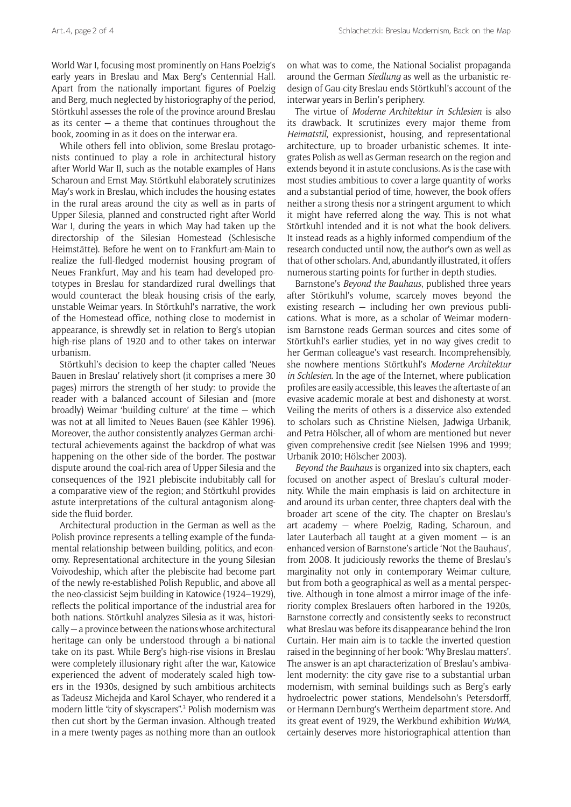World War I, focusing most prominently on Hans Poelzig's early years in Breslau and Max Berg's Centennial Hall. Apart from the nationally important figures of Poelzig and Berg, much neglected by historiography of the period, Störtkuhl assesses the role of the province around Breslau as its center  $-$  a theme that continues throughout the book, zooming in as it does on the interwar era.

While others fell into oblivion, some Breslau protagonists continued to play a role in architectural history after World War II, such as the notable examples of Hans Scharoun and Ernst May. Störtkuhl elaborately scrutinizes May's work in Breslau, which includes the housing estates in the rural areas around the city as well as in parts of Upper Silesia, planned and constructed right after World War I, during the years in which May had taken up the directorship of the Silesian Homestead (Schlesische Heimstätte). Before he went on to Frankfurt-am-Main to realize the full-fledged modernist housing program of Neues Frankfurt, May and his team had developed prototypes in Breslau for standardized rural dwellings that would counteract the bleak housing crisis of the early, unstable Weimar years. In Störtkuhl's narrative, the work of the Homestead office, nothing close to modernist in appearance, is shrewdly set in relation to Berg's utopian high-rise plans of 1920 and to other takes on interwar urbanism.

Störtkuhl's decision to keep the chapter called 'Neues Bauen in Breslau' relatively short (it comprises a mere 30 pages) mirrors the strength of her study: to provide the reader with a balanced account of Silesian and (more broadly) Weimar 'building culture' at the time — which was not at all limited to Neues Bauen (see Kähler 1996). Moreover, the author consistently analyzes German architectural achievements against the backdrop of what was happening on the other side of the border. The postwar dispute around the coal-rich area of Upper Silesia and the consequences of the 1921 plebiscite indubitably call for a comparative view of the region; and Störtkuhl provides astute interpretations of the cultural antagonism alongside the fluid border.

Architectural production in the German as well as the Polish province represents a telling example of the fundamental relationship between building, politics, and economy. Representational architecture in the young Silesian Voivodeship, which after the plebiscite had become part of the newly re-established Polish Republic, and above all the neo-classicist Sejm building in Katowice (1924–1929), reflects the political importance of the industrial area for both nations. Störtkuhl analyzes Silesia as it was, historically — a province between the nations whose architectural heritage can only be understood through a bi-national take on its past. While Berg's high-rise visions in Breslau were completely illusionary right after the war, Katowice experienced the advent of moderately scaled high towers in the 1930s, designed by such ambitious architects as Tadeusz Michejda and Karol Schayer, who rendered it a modern little "city of skyscrapers".3 Polish modernism was then cut short by the German invasion. Although treated in a mere twenty pages as nothing more than an outlook

on what was to come, the National Socialist propaganda around the German *Siedlung* as well as the urbanistic redesign of Gau-city Breslau ends Störtkuhl's account of the interwar years in Berlin's periphery.

The virtue of *Moderne Architektur in Schlesien* is also its drawback. It scrutinizes every major theme from *Heimatstil*, expressionist, housing, and representational architecture, up to broader urbanistic schemes. It integrates Polish as well as German research on the region and extends beyond it in astute conclusions. As is the case with most studies ambitious to cover a large quantity of works and a substantial period of time, however, the book offers neither a strong thesis nor a stringent argument to which it might have referred along the way. This is not what Störtkuhl intended and it is not what the book delivers. It instead reads as a highly informed compendium of the research conducted until now, the author's own as well as that of other scholars. And, abundantly illustrated, it offers numerous starting points for further in-depth studies.

Barnstone's *Beyond the Bauhaus*, published three years after Störtkuhl's volume, scarcely moves beyond the existing research  $-$  including her own previous publications. What is more, as a scholar of Weimar modernism Barnstone reads German sources and cites some of Störtkuhl's earlier studies, yet in no way gives credit to her German colleague's vast research. Incomprehensibly, she nowhere mentions Störtkuhl's *Moderne Architektur in Schlesien*. In the age of the Internet, where publication profiles are easily accessible, this leaves the aftertaste of an evasive academic morale at best and dishonesty at worst. Veiling the merits of others is a disservice also extended to scholars such as Christine Nielsen, Jadwiga Urbanik, and Petra Hölscher, all of whom are mentioned but never given comprehensive credit (see Nielsen 1996 and 1999; Urbanik 2010; Hölscher 2003).

*Beyond the Bauhaus* is organized into six chapters, each focused on another aspect of Breslau's cultural modernity. While the main emphasis is laid on architecture in and around its urban center, three chapters deal with the broader art scene of the city. The chapter on Breslau's art academy — where Poelzig, Rading, Scharoun, and later Lauterbach all taught at a given moment — is an enhanced version of Barnstone's article 'Not the Bauhaus', from 2008. It judiciously reworks the theme of Breslau's marginality not only in contemporary Weimar culture, but from both a geographical as well as a mental perspective. Although in tone almost a mirror image of the inferiority complex Breslauers often harbored in the 1920s, Barnstone correctly and consistently seeks to reconstruct what Breslau was before its disappearance behind the Iron Curtain. Her main aim is to tackle the inverted question raised in the beginning of her book: 'Why Breslau matters'. The answer is an apt characterization of Breslau's ambivalent modernity: the city gave rise to a substantial urban modernism, with seminal buildings such as Berg's early hydroelectric power stations, Mendelsohn's Petersdorff, or Hermann Dernburg's Wertheim department store. And its great event of 1929, the Werkbund exhibition *WuWA*, certainly deserves more historiographical attention than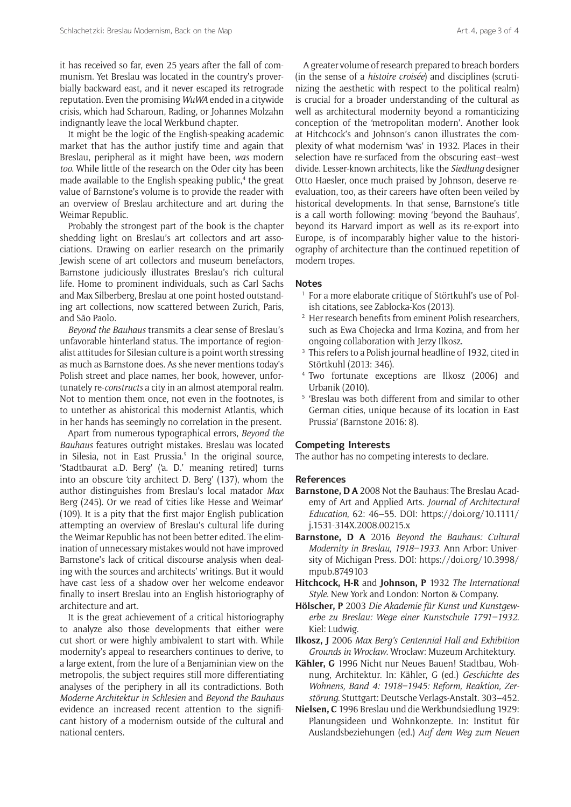it has received so far, even 25 years after the fall of communism. Yet Breslau was located in the country's proverbially backward east, and it never escaped its retrograde reputation. Even the promising *WuWA* ended in a citywide crisis, which had Scharoun, Rading, or Johannes Molzahn indignantly leave the local Werkbund chapter.

It might be the logic of the English-speaking academic market that has the author justify time and again that Breslau, peripheral as it might have been, *was* modern *too*. While little of the research on the Oder city has been made available to the English-speaking public,<sup>4</sup> the great value of Barnstone's volume is to provide the reader with an overview of Breslau architecture and art during the Weimar Republic.

Probably the strongest part of the book is the chapter shedding light on Breslau's art collectors and art associations. Drawing on earlier research on the primarily Jewish scene of art collectors and museum benefactors, Barnstone judiciously illustrates Breslau's rich cultural life. Home to prominent individuals, such as Carl Sachs and Max Silberberg, Breslau at one point hosted outstanding art collections, now scattered between Zurich, Paris, and São Paolo.

*Beyond the Bauhaus* transmits a clear sense of Breslau's unfavorable hinterland status. The importance of regionalist attitudes for Silesian culture is a point worth stressing as much as Barnstone does. As she never mentions today's Polish street and place names, her book, however, unfortunately re-*constructs* a city in an almost atemporal realm. Not to mention them once, not even in the footnotes, is to untether as ahistorical this modernist Atlantis, which in her hands has seemingly no correlation in the present.

Apart from numerous typographical errors, *Beyond the Bauhaus* features outright mistakes. Breslau was located in Silesia, not in East Prussia.<sup>5</sup> In the original source, 'Stadtbaurat a.D. Berg' ('a. D.' meaning retired) turns into an obscure 'city architect D. Berg' (137), whom the author distinguishes from Breslau's local matador *Max* Berg (245). Or we read of 'cities like Hesse and Weimar' (109). It is a pity that the first major English publication attempting an overview of Breslau's cultural life during the Weimar Republic has not been better edited. The elimination of unnecessary mistakes would not have improved Barnstone's lack of critical discourse analysis when dealing with the sources and architects' writings. But it would have cast less of a shadow over her welcome endeavor finally to insert Breslau into an English historiography of architecture and art.

It is the great achievement of a critical historiography to analyze also those developments that either were cut short or were highly ambivalent to start with. While modernity's appeal to researchers continues to derive, to a large extent, from the lure of a Benjaminian view on the metropolis, the subject requires still more differentiating analyses of the periphery in all its contradictions. Both *Moderne Architektur in Schlesien* and *Beyond the Bauhaus* evidence an increased recent attention to the significant history of a modernism outside of the cultural and national centers.

A greater volume of research prepared to breach borders (in the sense of a *histoire croisée*) and disciplines (scrutinizing the aesthetic with respect to the political realm) is crucial for a broader understanding of the cultural as well as architectural modernity beyond a romanticizing conception of the 'metropolitan modern'. Another look at Hitchcock's and Johnson's canon illustrates the complexity of what modernism 'was' in 1932. Places in their selection have re-surfaced from the obscuring east–west divide. Lesser-known architects, like the *Siedlung* designer Otto Haesler, once much praised by Johnson, deserve reevaluation, too, as their careers have often been veiled by historical developments. In that sense, Barnstone's title is a call worth following: moving 'beyond the Bauhaus', beyond its Harvard import as well as its re-export into Europe, is of incomparably higher value to the historiography of architecture than the continued repetition of modern tropes.

## **Notes**

- <sup>1</sup> For a more elaborate critique of Störtkuhl's use of Polish citations, see Zabłocka-Kos (2013).
- <sup>2</sup> Her research benefits from eminent Polish researchers, such as Ewa Chojecka and Irma Kozina, and from her ongoing collaboration with Jerzy Ilkosz.
- <sup>3</sup> This refers to a Polish journal headline of 1932, cited in Störtkuhl (2013: 346).
- <sup>4</sup> Two fortunate exceptions are Ilkosz (2006) and Urbanik (2010).
- <sup>5</sup> 'Breslau was both different from and similar to other German cities, unique because of its location in East Prussia' (Barnstone 2016: 8).

## **Competing Interests**

The author has no competing interests to declare.

## **References**

- **Barnstone, D A** 2008 Not the Bauhaus: The Breslau Academy of Art and Applied Arts. *Journal of Architectural Education*, 62: 46–55. DOI: [https://doi.org/10.1111/](https://doi.org/10.1111/j.1531-314X.2008.00215.x) [j.1531-314X.2008.00215.x](https://doi.org/10.1111/j.1531-314X.2008.00215.x)
- **Barnstone, D A** 2016 *Beyond the Bauhaus: Cultural Modernity in Breslau, 1918–1933*. Ann Arbor: University of Michigan Press. DOI: [https://doi.org/10.3998/](https://doi.org/10.3998/mpub.8749103) [mpub.8749103](https://doi.org/10.3998/mpub.8749103)
- **Hitchcock, H-R** and **Johnson, P** 1932 *The International Style*. New York and London: Norton & Company.
- **Hölscher, P** 2003 *Die Akademie für Kunst und Kunstgewerbe zu Breslau: Wege einer Kunstschule 1791–1932*. Kiel: Ludwig.
- **Ilkosz, J** 2006 *Max Berg's Centennial Hall and Exhibition Grounds in Wrocław*. Wrocław: Muzeum Architektury.
- **Kähler, G** 1996 Nicht nur Neues Bauen! Stadtbau, Wohnung, Architektur. In: Kähler, G (ed.) *Geschichte des Wohnens, Band 4: 1918–1945: Reform, Reaktion, Zerstörung*. Stuttgart: Deutsche Verlags-Anstalt. 303–452.
- **Nielsen, C** 1996 Breslau und die Werkbundsiedlung 1929: Planungsideen und Wohnkonzepte. In: Institut für Auslandsbeziehungen (ed.) *Auf dem Weg zum Neuen*